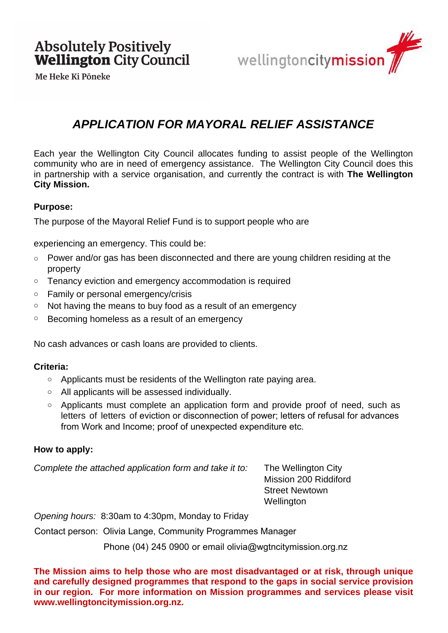



# *APPLICATION FOR MAYORAL RELIEF ASSISTANCE*

Each year the Wellington City Council allocates funding to assist people of the Wellington community who are in need of emergency assistance. The Wellington City Council does this in partnership with a service organisation, and currently the contract is with **The Wellington City Mission.**

### **Purpose:**

The purpose of the Mayoral Relief Fund is to support people who are

experiencing an emergency. This could be:

- Power and/or gas has been disconnected and there are young children residing at the property
- o Tenancy eviction and emergency accommodation is required
- o Family or personal emergency/crisis
- o Not having the means to buy food as a result of an emergency
- o Becoming homeless as a result of an emergency

No cash advances or cash loans are provided to clients.

#### **Criteria:**

- o Applicants must be residents of the Wellington rate paying area.
- o All applicants will be assessed individually.
- o Applicants must complete an application form and provide proof of need, such as letters of letters of eviction or disconnection of power; letters of refusal for advances from Work and Income; proof of unexpected expenditure etc.

#### **How to apply:**

*Complete the attached application form and take it to:* The Wellington City

Mission 200 Riddiford Street Newtown **Wellington** 

*Opening hours:* 8:30am to 4:30pm, Monday to Friday

Contact person: Olivia Lange, Community Programmes Manager

Phone (04) 245 0900 or email olivia@wgtncitymission.org.nz

**The Mission aims to help those who are most disadvantaged or at risk, through unique and carefully designed programmes that respond to the gaps in social service provision in our region. For more information on Mission programmes and services please visit www.wellingtoncitymission.org.nz.**